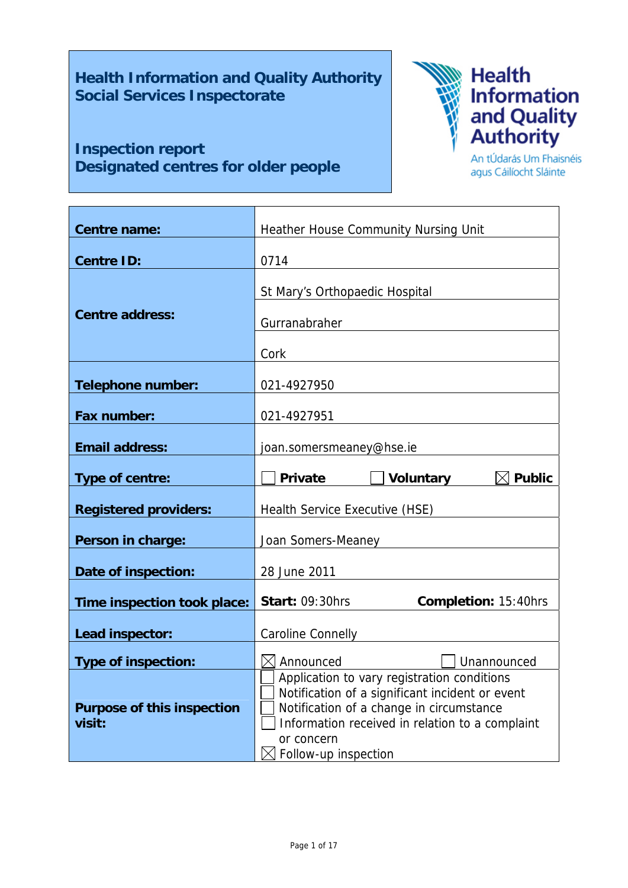**Health Information and Quality Authority Social Services Inspectorate** 

# **Inspection report Designated centres for older people**



An tÚdarás Um Fhaisnéis agus Cáilíocht Sláinte

| <b>Centre name:</b>                         | Heather House Community Nursing Unit                                                        |  |  |
|---------------------------------------------|---------------------------------------------------------------------------------------------|--|--|
|                                             |                                                                                             |  |  |
| <b>Centre ID:</b>                           | 0714                                                                                        |  |  |
|                                             | St Mary's Orthopaedic Hospital                                                              |  |  |
| <b>Centre address:</b>                      |                                                                                             |  |  |
|                                             | Gurranabraher                                                                               |  |  |
|                                             | Cork                                                                                        |  |  |
|                                             |                                                                                             |  |  |
| <b>Telephone number:</b>                    | 021-4927950                                                                                 |  |  |
|                                             |                                                                                             |  |  |
| <b>Fax number:</b>                          | 021-4927951                                                                                 |  |  |
| <b>Email address:</b>                       | joan.somersmeaney@hse.ie                                                                    |  |  |
|                                             |                                                                                             |  |  |
| Type of centre:                             | <b>Voluntary</b><br><b>Public</b><br><b>Private</b>                                         |  |  |
|                                             |                                                                                             |  |  |
| <b>Registered providers:</b>                | Health Service Executive (HSE)                                                              |  |  |
|                                             |                                                                                             |  |  |
| Person in charge:                           | Joan Somers-Meaney                                                                          |  |  |
| Date of inspection:                         | 28 June 2011                                                                                |  |  |
|                                             |                                                                                             |  |  |
| Time inspection took place:                 | <b>Start: 09:30hrs</b><br><b>Completion: 15:40hrs</b>                                       |  |  |
|                                             |                                                                                             |  |  |
| Lead inspector:                             | Caroline Connelly                                                                           |  |  |
| <b>Type of inspection:</b>                  | Announced<br>Unannounced                                                                    |  |  |
|                                             | Application to vary registration conditions                                                 |  |  |
|                                             | Notification of a significant incident or event                                             |  |  |
| <b>Purpose of this inspection</b><br>visit: | Notification of a change in circumstance<br>Information received in relation to a complaint |  |  |
|                                             | or concern                                                                                  |  |  |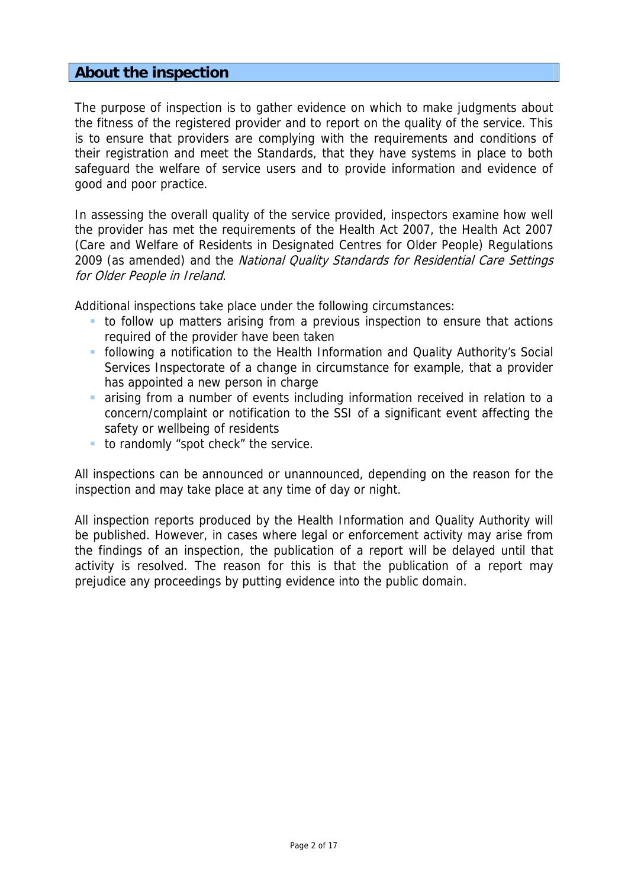## **About the inspection**

The purpose of inspection is to gather evidence on which to make judgments about the fitness of the registered provider and to report on the quality of the service. This is to ensure that providers are complying with the requirements and conditions of their registration and meet the Standards, that they have systems in place to both safeguard the welfare of service users and to provide information and evidence of good and poor practice.

In assessing the overall quality of the service provided, inspectors examine how well the provider has met the requirements of the Health Act 2007, the Health Act 2007 (Care and Welfare of Residents in Designated Centres for Older People) Regulations 2009 (as amended) and the National Quality Standards for Residential Care Settings for Older People in Ireland.

Additional inspections take place under the following circumstances:

- to follow up matters arising from a previous inspection to ensure that actions required of the provider have been taken
- following a notification to the Health Information and Quality Authority's Social Services Inspectorate of a change in circumstance for example, that a provider has appointed a new person in charge
- arising from a number of events including information received in relation to a concern/complaint or notification to the SSI of a significant event affecting the safety or wellbeing of residents
- to randomly "spot check" the service.

All inspections can be announced or unannounced, depending on the reason for the inspection and may take place at any time of day or night.

All inspection reports produced by the Health Information and Quality Authority will be published. However, in cases where legal or enforcement activity may arise from the findings of an inspection, the publication of a report will be delayed until that activity is resolved. The reason for this is that the publication of a report may prejudice any proceedings by putting evidence into the public domain.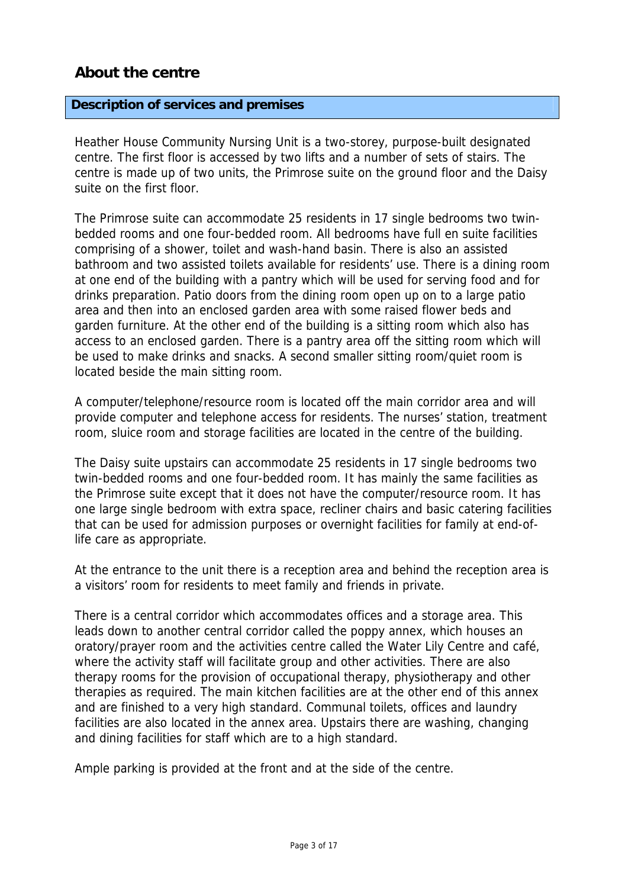## **About the centre**

### **Description of services and premises**

Heather House Community Nursing Unit is a two-storey, purpose-built designated centre. The first floor is accessed by two lifts and a number of sets of stairs. The centre is made up of two units, the Primrose suite on the ground floor and the Daisy suite on the first floor.

The Primrose suite can accommodate 25 residents in 17 single bedrooms two twinbedded rooms and one four-bedded room. All bedrooms have full en suite facilities comprising of a shower, toilet and wash-hand basin. There is also an assisted bathroom and two assisted toilets available for residents' use. There is a dining room at one end of the building with a pantry which will be used for serving food and for drinks preparation. Patio doors from the dining room open up on to a large patio area and then into an enclosed garden area with some raised flower beds and garden furniture. At the other end of the building is a sitting room which also has access to an enclosed garden. There is a pantry area off the sitting room which will be used to make drinks and snacks. A second smaller sitting room/quiet room is located beside the main sitting room.

A computer/telephone/resource room is located off the main corridor area and will provide computer and telephone access for residents. The nurses' station, treatment room, sluice room and storage facilities are located in the centre of the building.

The Daisy suite upstairs can accommodate 25 residents in 17 single bedrooms two twin-bedded rooms and one four-bedded room. It has mainly the same facilities as the Primrose suite except that it does not have the computer/resource room. It has one large single bedroom with extra space, recliner chairs and basic catering facilities that can be used for admission purposes or overnight facilities for family at end-oflife care as appropriate.

At the entrance to the unit there is a reception area and behind the reception area is a visitors' room for residents to meet family and friends in private.

There is a central corridor which accommodates offices and a storage area. This leads down to another central corridor called the poppy annex, which houses an oratory/prayer room and the activities centre called the Water Lily Centre and café, where the activity staff will facilitate group and other activities. There are also therapy rooms for the provision of occupational therapy, physiotherapy and other therapies as required. The main kitchen facilities are at the other end of this annex and are finished to a very high standard. Communal toilets, offices and laundry facilities are also located in the annex area. Upstairs there are washing, changing and dining facilities for staff which are to a high standard.

Ample parking is provided at the front and at the side of the centre.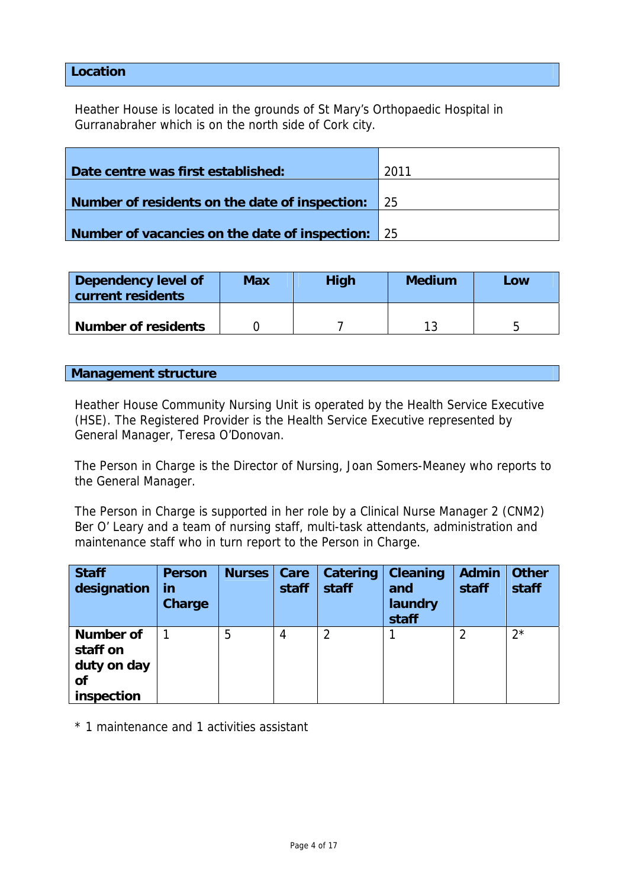## **Location**

Heather House is located in the grounds of St Mary's Orthopaedic Hospital in Gurranabraher which is on the north side of Cork city.

| Date centre was first established:                | 2011            |
|---------------------------------------------------|-----------------|
| Number of residents on the date of inspection:    | $\overline{25}$ |
| Number of vacancies on the date of inspection: 25 |                 |

| Dependency level of<br>current residents | Max | <b>High</b> | <b>Medium</b> | Low |
|------------------------------------------|-----|-------------|---------------|-----|
| <b>Number of residents</b>               |     |             |               |     |

### **Management structure**

Heather House Community Nursing Unit is operated by the Health Service Executive (HSE). The Registered Provider is the Health Service Executive represented by General Manager, Teresa O'Donovan.

The Person in Charge is the Director of Nursing, Joan Somers-Meaney who reports to the General Manager.

The Person in Charge is supported in her role by a Clinical Nurse Manager 2 (CNM2) Ber O' Leary and a team of nursing staff, multi-task attendants, administration and maintenance staff who in turn report to the Person in Charge.

| <b>Staff</b><br>designation                                     | <b>Person</b><br>in<br><b>Charge</b> | <b>Nurses</b> | Care<br>staff | Catering<br>staff | <b>Cleaning</b><br>and<br>laundry<br>staff | <b>Admin</b><br>staff | <b>Other</b><br>staff |
|-----------------------------------------------------------------|--------------------------------------|---------------|---------------|-------------------|--------------------------------------------|-----------------------|-----------------------|
| <b>Number of</b><br>staff on<br>duty on day<br>of<br>inspection |                                      | 5             | 4             | າ                 |                                            |                       | $2^{\star}$           |

\* 1 maintenance and 1 activities assistant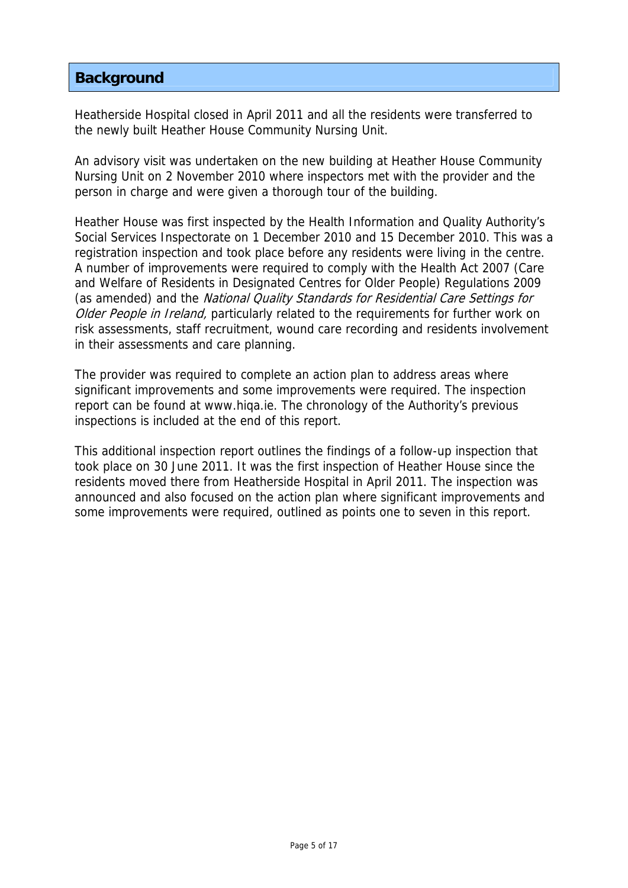## **Background**

Heatherside Hospital closed in April 2011 and all the residents were transferred to the newly built Heather House Community Nursing Unit.

An advisory visit was undertaken on the new building at Heather House Community Nursing Unit on 2 November 2010 where inspectors met with the provider and the person in charge and were given a thorough tour of the building.

Heather House was first inspected by the Health Information and Quality Authority's Social Services Inspectorate on 1 December 2010 and 15 December 2010. This was a registration inspection and took place before any residents were living in the centre. A number of improvements were required to comply with the Health Act 2007 (Care and Welfare of Residents in Designated Centres for Older People) Regulations 2009 (as amended) and the National Quality Standards for Residential Care Settings for Older People in Ireland, particularly related to the requirements for further work on risk assessments, staff recruitment, wound care recording and residents involvement in their assessments and care planning.

The provider was required to complete an action plan to address areas where significant improvements and some improvements were required. The inspection report can be found at www.hiqa.ie. The chronology of the Authority's previous inspections is included at the end of this report.

This additional inspection report outlines the findings of a follow-up inspection that took place on 30 June 2011. It was the first inspection of Heather House since the residents moved there from Heatherside Hospital in April 2011. The inspection was announced and also focused on the action plan where significant improvements and some improvements were required, outlined as points one to seven in this report.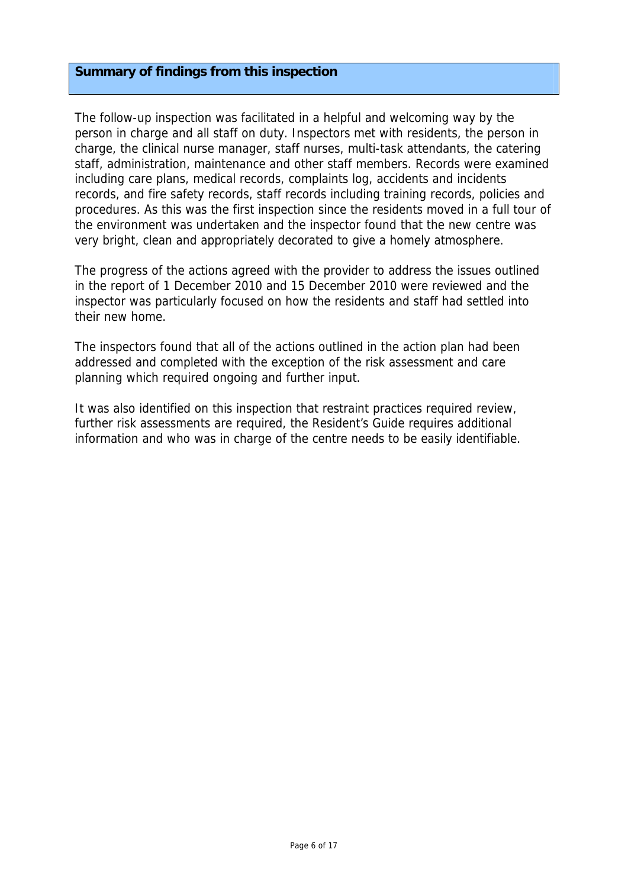### **Summary of findings from this inspection**

The follow-up inspection was facilitated in a helpful and welcoming way by the person in charge and all staff on duty. Inspectors met with residents, the person in charge, the clinical nurse manager, staff nurses, multi-task attendants, the catering staff, administration, maintenance and other staff members. Records were examined including care plans, medical records, complaints log, accidents and incidents records, and fire safety records, staff records including training records, policies and procedures. As this was the first inspection since the residents moved in a full tour of the environment was undertaken and the inspector found that the new centre was very bright, clean and appropriately decorated to give a homely atmosphere.

The progress of the actions agreed with the provider to address the issues outlined in the report of 1 December 2010 and 15 December 2010 were reviewed and the inspector was particularly focused on how the residents and staff had settled into their new home.

The inspectors found that all of the actions outlined in the action plan had been addressed and completed with the exception of the risk assessment and care planning which required ongoing and further input.

It was also identified on this inspection that restraint practices required review, further risk assessments are required, the Resident's Guide requires additional information and who was in charge of the centre needs to be easily identifiable.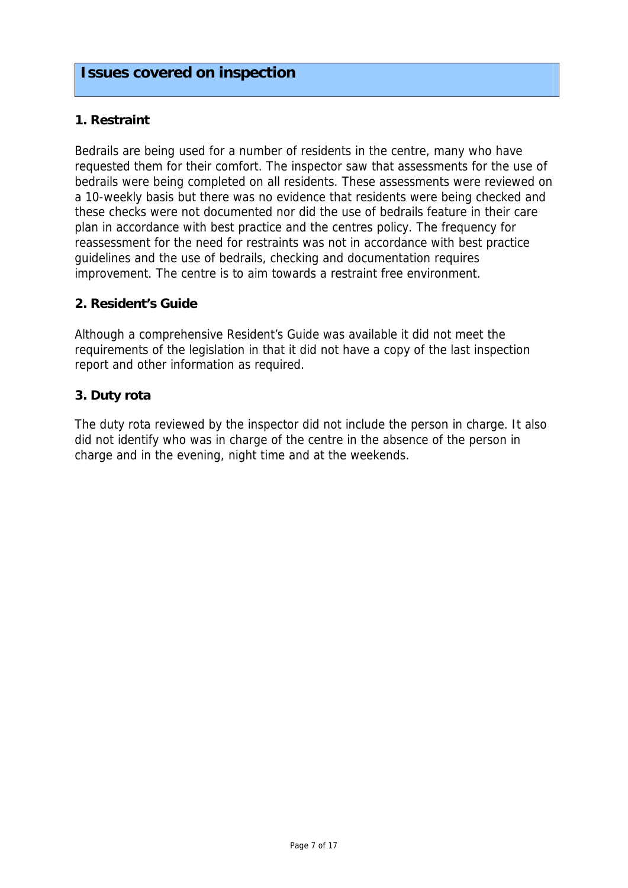## **1. Restraint**

Bedrails are being used for a number of residents in the centre, many who have requested them for their comfort. The inspector saw that assessments for the use of bedrails were being completed on all residents. These assessments were reviewed on a 10-weekly basis but there was no evidence that residents were being checked and these checks were not documented nor did the use of bedrails feature in their care plan in accordance with best practice and the centres policy. The frequency for reassessment for the need for restraints was not in accordance with best practice guidelines and the use of bedrails, checking and documentation requires improvement. The centre is to aim towards a restraint free environment.

## **2. Resident's Guide**

Although a comprehensive Resident's Guide was available it did not meet the requirements of the legislation in that it did not have a copy of the last inspection report and other information as required.

## **3. Duty rota**

The duty rota reviewed by the inspector did not include the person in charge. It also did not identify who was in charge of the centre in the absence of the person in charge and in the evening, night time and at the weekends.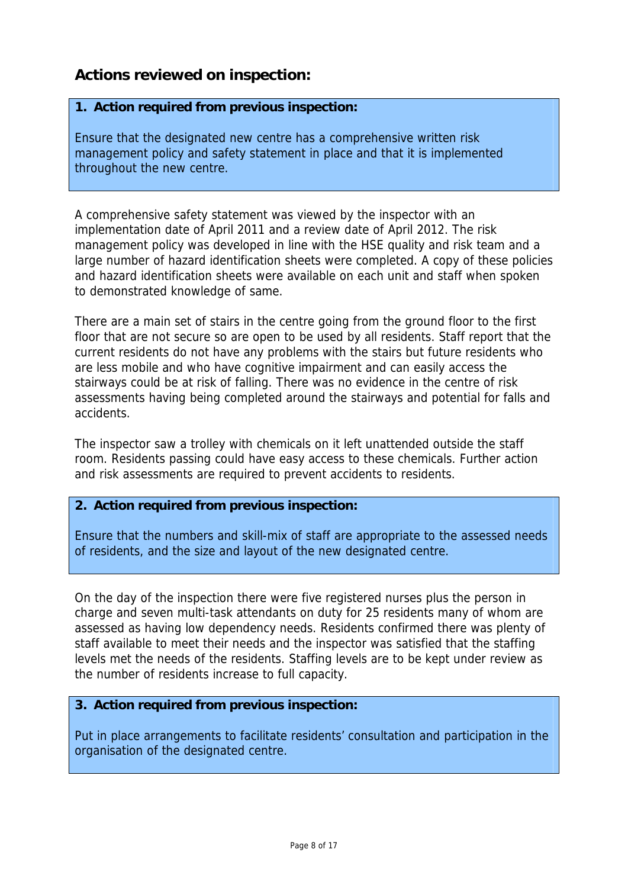# **Actions reviewed on inspection:**

## **1. Action required from previous inspection:**

Ensure that the designated new centre has a comprehensive written risk management policy and safety statement in place and that it is implemented throughout the new centre.

A comprehensive safety statement was viewed by the inspector with an implementation date of April 2011 and a review date of April 2012. The risk management policy was developed in line with the HSE quality and risk team and a large number of hazard identification sheets were completed. A copy of these policies and hazard identification sheets were available on each unit and staff when spoken to demonstrated knowledge of same.

There are a main set of stairs in the centre going from the ground floor to the first floor that are not secure so are open to be used by all residents. Staff report that the current residents do not have any problems with the stairs but future residents who are less mobile and who have cognitive impairment and can easily access the stairways could be at risk of falling. There was no evidence in the centre of risk assessments having being completed around the stairways and potential for falls and accidents.

The inspector saw a trolley with chemicals on it left unattended outside the staff room. Residents passing could have easy access to these chemicals. Further action and risk assessments are required to prevent accidents to residents.

## **2. Action required from previous inspection:**

Ensure that the numbers and skill-mix of staff are appropriate to the assessed needs of residents, and the size and layout of the new designated centre.

On the day of the inspection there were five registered nurses plus the person in charge and seven multi-task attendants on duty for 25 residents many of whom are assessed as having low dependency needs. Residents confirmed there was plenty of staff available to meet their needs and the inspector was satisfied that the staffing levels met the needs of the residents. Staffing levels are to be kept under review as the number of residents increase to full capacity.

## **3. Action required from previous inspection:**

Put in place arrangements to facilitate residents' consultation and participation in the organisation of the designated centre.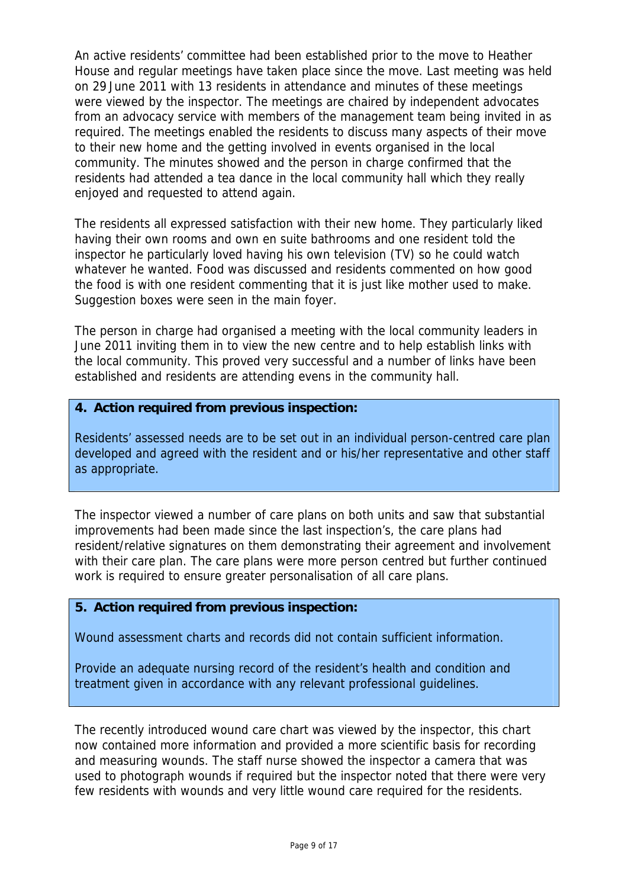An active residents' committee had been established prior to the move to Heather House and regular meetings have taken place since the move. Last meeting was held on 29 June 2011 with 13 residents in attendance and minutes of these meetings were viewed by the inspector. The meetings are chaired by independent advocates from an advocacy service with members of the management team being invited in as required. The meetings enabled the residents to discuss many aspects of their move to their new home and the getting involved in events organised in the local community. The minutes showed and the person in charge confirmed that the residents had attended a tea dance in the local community hall which they really enjoyed and requested to attend again.

The residents all expressed satisfaction with their new home. They particularly liked having their own rooms and own en suite bathrooms and one resident told the inspector he particularly loved having his own television (TV) so he could watch whatever he wanted. Food was discussed and residents commented on how good the food is with one resident commenting that it is just like mother used to make. Suggestion boxes were seen in the main foyer.

The person in charge had organised a meeting with the local community leaders in June 2011 inviting them in to view the new centre and to help establish links with the local community. This proved very successful and a number of links have been established and residents are attending evens in the community hall.

### **4. Action required from previous inspection:**

Residents' assessed needs are to be set out in an individual person-centred care plan developed and agreed with the resident and or his/her representative and other staff as appropriate.

The inspector viewed a number of care plans on both units and saw that substantial improvements had been made since the last inspection's, the care plans had resident/relative signatures on them demonstrating their agreement and involvement with their care plan. The care plans were more person centred but further continued work is required to ensure greater personalisation of all care plans.

## **5. Action required from previous inspection:**

Wound assessment charts and records did not contain sufficient information.

Provide an adequate nursing record of the resident's health and condition and treatment given in accordance with any relevant professional guidelines.

The recently introduced wound care chart was viewed by the inspector, this chart now contained more information and provided a more scientific basis for recording and measuring wounds. The staff nurse showed the inspector a camera that was used to photograph wounds if required but the inspector noted that there were very few residents with wounds and very little wound care required for the residents.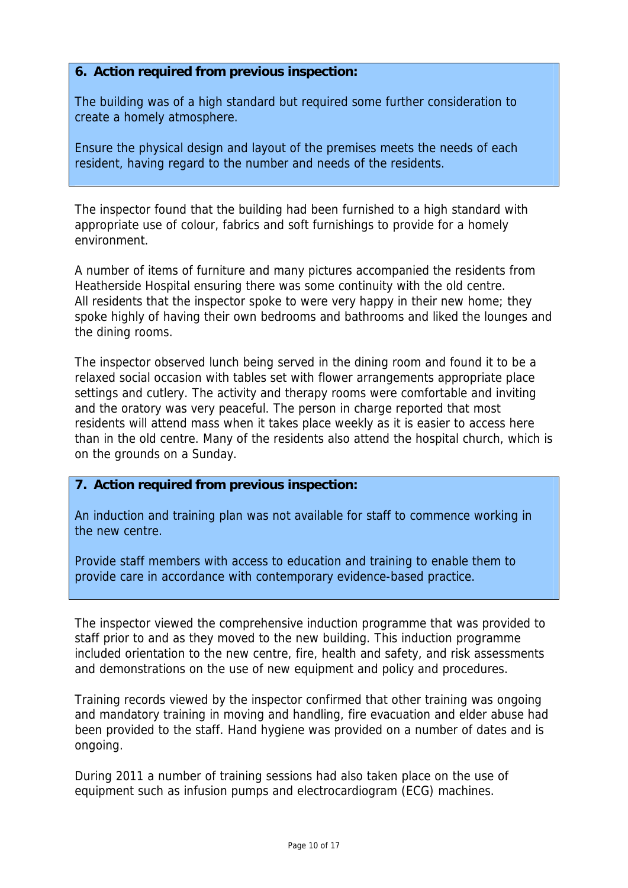## **6. Action required from previous inspection:**

The building was of a high standard but required some further consideration to create a homely atmosphere.

Ensure the physical design and layout of the premises meets the needs of each resident, having regard to the number and needs of the residents.

The inspector found that the building had been furnished to a high standard with appropriate use of colour, fabrics and soft furnishings to provide for a homely environment.

A number of items of furniture and many pictures accompanied the residents from Heatherside Hospital ensuring there was some continuity with the old centre. All residents that the inspector spoke to were very happy in their new home; they spoke highly of having their own bedrooms and bathrooms and liked the lounges and the dining rooms.

The inspector observed lunch being served in the dining room and found it to be a relaxed social occasion with tables set with flower arrangements appropriate place settings and cutlery. The activity and therapy rooms were comfortable and inviting and the oratory was very peaceful. The person in charge reported that most residents will attend mass when it takes place weekly as it is easier to access here than in the old centre. Many of the residents also attend the hospital church, which is on the grounds on a Sunday.

## **7. Action required from previous inspection:**

An induction and training plan was not available for staff to commence working in the new centre.

Provide staff members with access to education and training to enable them to provide care in accordance with contemporary evidence-based practice.

The inspector viewed the comprehensive induction programme that was provided to staff prior to and as they moved to the new building. This induction programme included orientation to the new centre, fire, health and safety, and risk assessments and demonstrations on the use of new equipment and policy and procedures.

Training records viewed by the inspector confirmed that other training was ongoing and mandatory training in moving and handling, fire evacuation and elder abuse had been provided to the staff. Hand hygiene was provided on a number of dates and is ongoing.

During 2011 a number of training sessions had also taken place on the use of equipment such as infusion pumps and electrocardiogram (ECG) machines.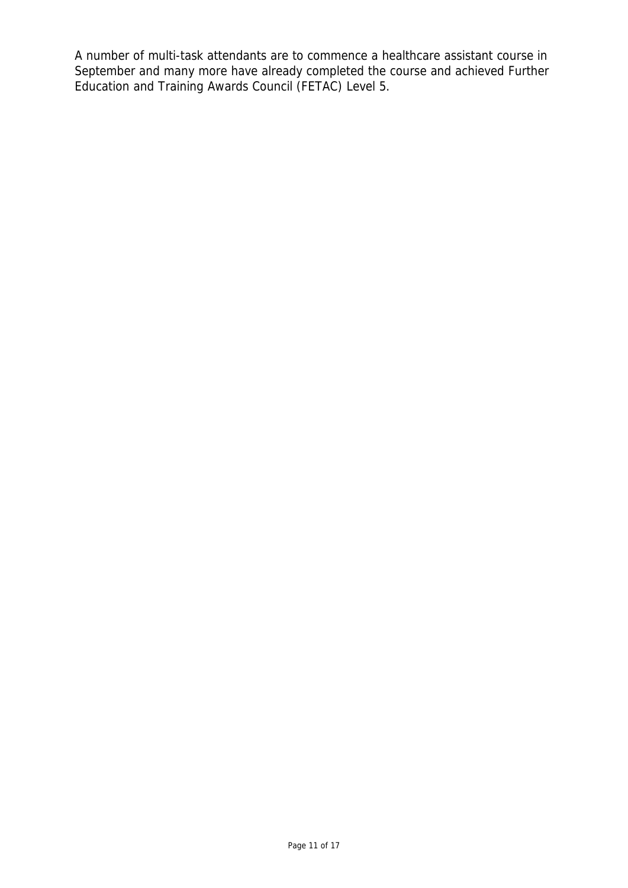A number of multi-task attendants are to commence a healthcare assistant course in September and many more have already completed the course and achieved Further Education and Training Awards Council (FETAC) Level 5.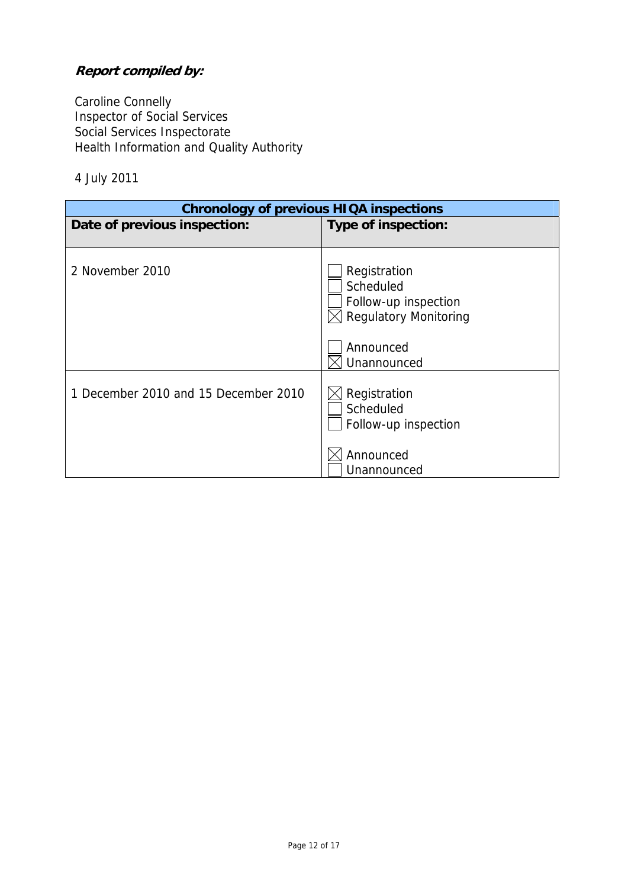# **Report compiled by:**

Caroline Connelly Inspector of Social Services Social Services Inspectorate Health Information and Quality Authority

4 July 2011

| <b>Chronology of previous HIQA inspections</b> |                                                                                        |  |
|------------------------------------------------|----------------------------------------------------------------------------------------|--|
| Date of previous inspection:                   | Type of inspection:                                                                    |  |
|                                                |                                                                                        |  |
| 2 November 2010                                | Registration<br>Scheduled<br>Follow-up inspection<br>$\boxtimes$ Regulatory Monitoring |  |
|                                                | Announced                                                                              |  |
|                                                | Unannounced                                                                            |  |
| 1 December 2010 and 15 December 2010           | Registration<br>Scheduled<br>Follow-up inspection<br>Announced                         |  |
|                                                | Unannounced                                                                            |  |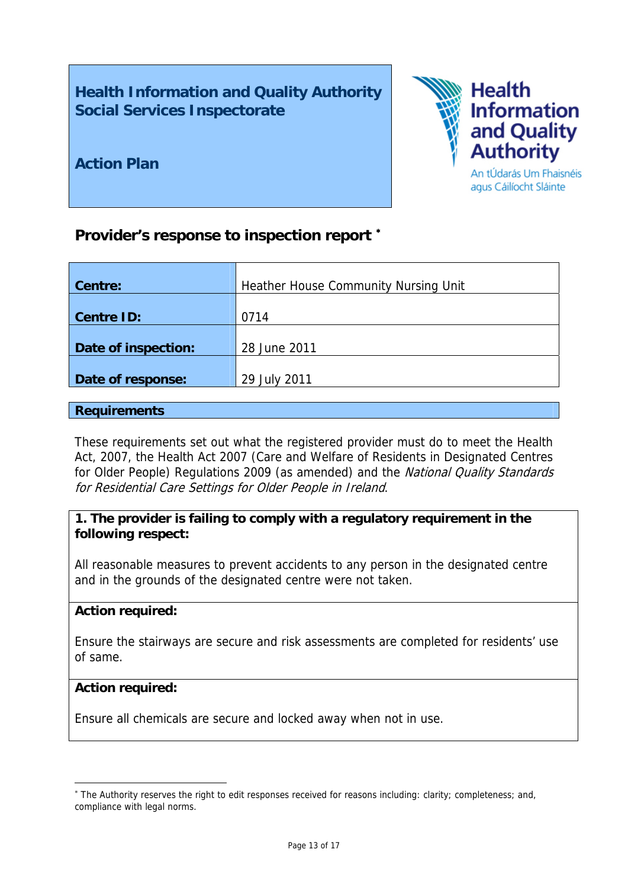**Health Information and Quality Authority Social Services Inspectorate** 



**Action Plan** 

# **Provider's response to inspection report** [∗](#page-12-0)

| Centre:             | Heather House Community Nursing Unit |  |  |
|---------------------|--------------------------------------|--|--|
|                     |                                      |  |  |
| <b>Centre ID:</b>   | 0714                                 |  |  |
|                     |                                      |  |  |
| Date of inspection: | 28 June 2011                         |  |  |
|                     |                                      |  |  |
| Date of response:   | 29 July 2011                         |  |  |
|                     |                                      |  |  |

### **Requirements**

These requirements set out what the registered provider must do to meet the Health Act, 2007, the Health Act 2007 (Care and Welfare of Residents in Designated Centres for Older People) Regulations 2009 (as amended) and the National Quality Standards for Residential Care Settings for Older People in Ireland.

## **1. The provider is failing to comply with a regulatory requirement in the following respect:**

All reasonable measures to prevent accidents to any person in the designated centre and in the grounds of the designated centre were not taken.

#### **Action required:**

Ensure the stairways are secure and risk assessments are completed for residents' use of same.

## **Action required:**

1

Ensure all chemicals are secure and locked away when not in use.

<span id="page-12-0"></span><sup>∗</sup> The Authority reserves the right to edit responses received for reasons including: clarity; completeness; and, compliance with legal norms.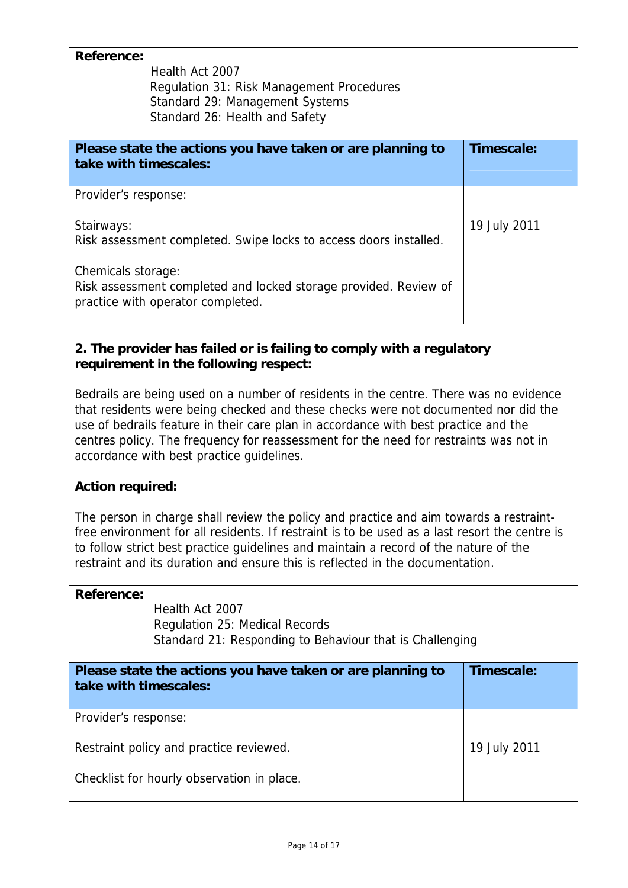| <b>Reference:</b><br>Health Act 2007<br>Regulation 31: Risk Management Procedures<br>Standard 29: Management Systems<br>Standard 26: Health and Safety |              |
|--------------------------------------------------------------------------------------------------------------------------------------------------------|--------------|
| Please state the actions you have taken or are planning to<br>take with timescales:                                                                    | Timescale:   |
| Provider's response:                                                                                                                                   |              |
| Stairways:<br>Risk assessment completed. Swipe locks to access doors installed.                                                                        | 19 July 2011 |
| Chemicals storage:<br>Risk assessment completed and locked storage provided. Review of<br>practice with operator completed.                            |              |

## **2. The provider has failed or is failing to comply with a regulatory requirement in the following respect:**

Bedrails are being used on a number of residents in the centre. There was no evidence that residents were being checked and these checks were not documented nor did the use of bedrails feature in their care plan in accordance with best practice and the centres policy. The frequency for reassessment for the need for restraints was not in accordance with best practice guidelines.

## **Action required:**

The person in charge shall review the policy and practice and aim towards a restraintfree environment for all residents. If restraint is to be used as a last resort the centre is to follow strict best practice guidelines and maintain a record of the nature of the restraint and its duration and ensure this is reflected in the documentation.

## **Reference:**

 Health Act 2007 Regulation 25: Medical Records Standard 21: Responding to Behaviour that is Challenging

| Please state the actions you have taken or are planning to<br>take with timescales: | Timescale:   |
|-------------------------------------------------------------------------------------|--------------|
| Provider's response:                                                                |              |
| Restraint policy and practice reviewed.                                             | 19 July 2011 |
| Checklist for hourly observation in place.                                          |              |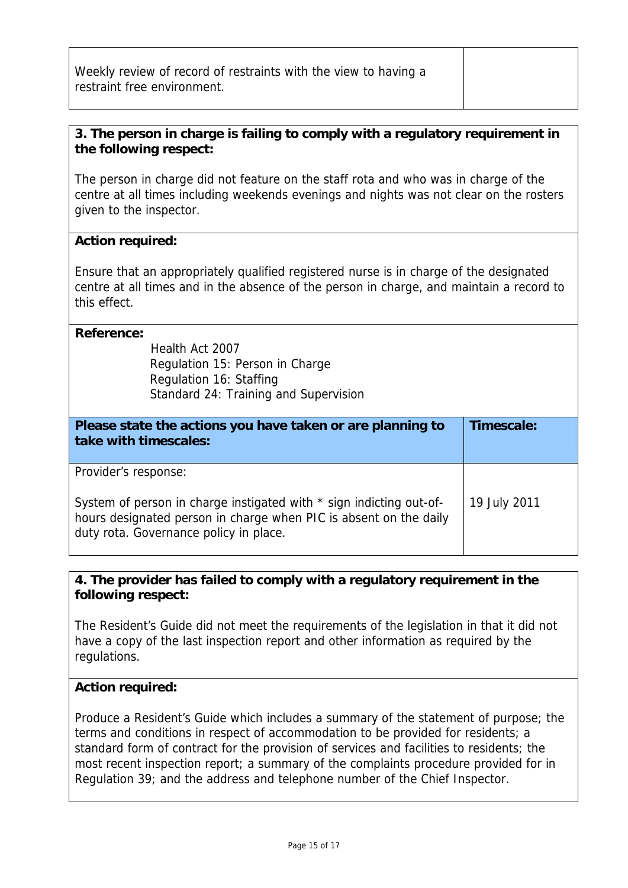| Weekly review of record of restraints with the view to having a |  |
|-----------------------------------------------------------------|--|
| restraint free environment.                                     |  |
|                                                                 |  |

## **3. The person in charge is failing to comply with a regulatory requirement in the following respect:**

The person in charge did not feature on the staff rota and who was in charge of the centre at all times including weekends evenings and nights was not clear on the rosters given to the inspector.

## **Action required:**

Ensure that an appropriately qualified registered nurse is in charge of the designated centre at all times and in the absence of the person in charge, and maintain a record to this effect.

#### **Reference:**

Health Act 2007 Regulation 15: Person in Charge Regulation 16: Staffing Standard 24: Training and Supervision

| Please state the actions you have taken or are planning to<br>take with timescales:                                                                                                                        | Timescale:   |
|------------------------------------------------------------------------------------------------------------------------------------------------------------------------------------------------------------|--------------|
| Provider's response:<br>System of person in charge instigated with * sign indicting out-of-<br>hours designated person in charge when PIC is absent on the daily<br>duty rota. Governance policy in place. | 19 July 2011 |

## **4. The provider has failed to comply with a regulatory requirement in the following respect:**

The Resident's Guide did not meet the requirements of the legislation in that it did not have a copy of the last inspection report and other information as required by the regulations.

## **Action required:**

Produce a Resident's Guide which includes a summary of the statement of purpose; the terms and conditions in respect of accommodation to be provided for residents; a standard form of contract for the provision of services and facilities to residents; the most recent inspection report; a summary of the complaints procedure provided for in Regulation 39; and the address and telephone number of the Chief Inspector.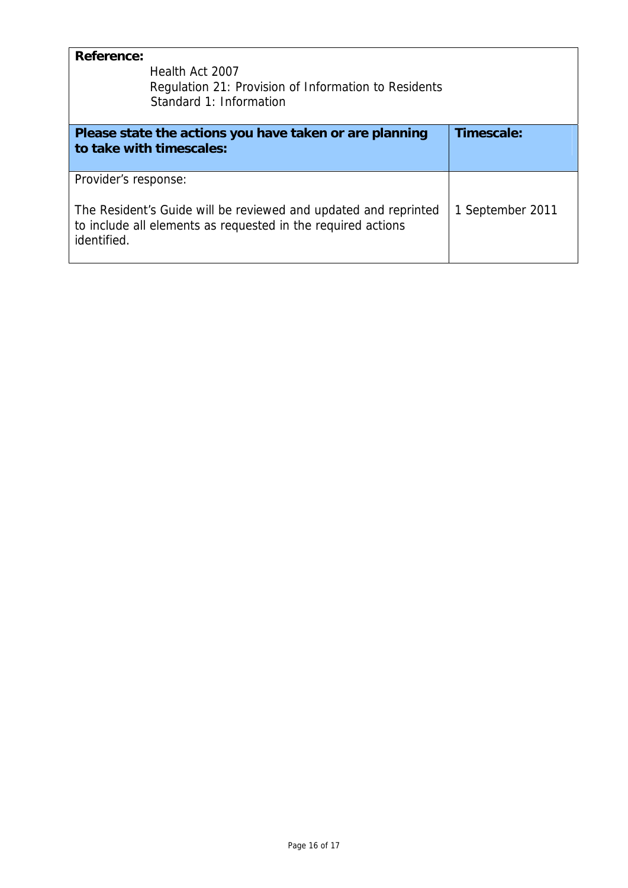| <b>Reference:</b><br>Health Act 2007<br>Regulation 21: Provision of Information to Residents<br>Standard 1: Information                                                |                  |
|------------------------------------------------------------------------------------------------------------------------------------------------------------------------|------------------|
| Please state the actions you have taken or are planning<br>to take with timescales:                                                                                    | Timescale:       |
| Provider's response:<br>The Resident's Guide will be reviewed and updated and reprinted<br>to include all elements as requested in the required actions<br>identified. | 1 September 2011 |